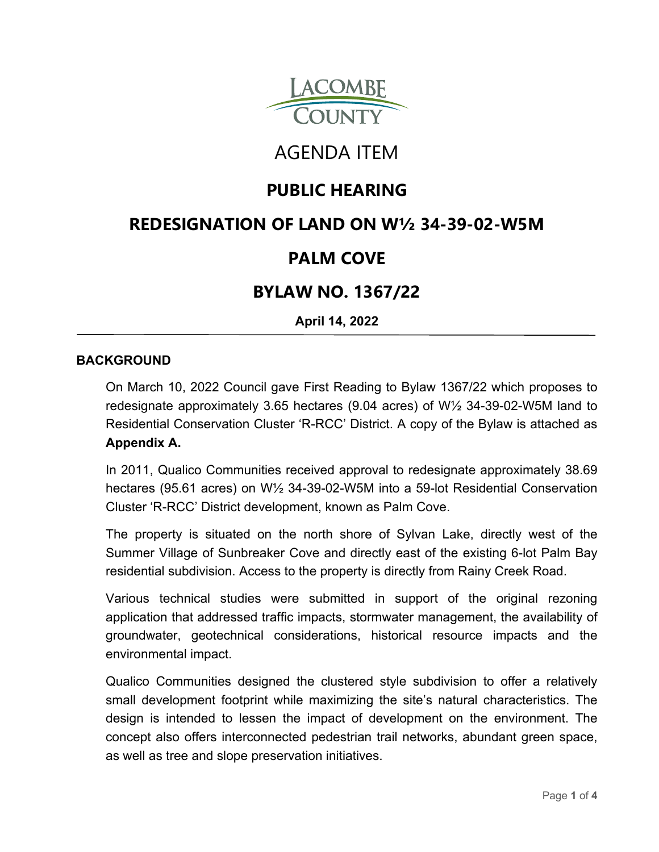

# AGENDA ITEM

## **PUBLIC HEARING**

## **REDESIGNATION OF LAND ON W½ 34-39-02-W5M**

## **PALM COVE**

## **BYLAW NO. 1367/22**

**April 14, 2022**

#### **BACKGROUND**

On March 10, 2022 Council gave First Reading to Bylaw 1367/22 which proposes to redesignate approximately 3.65 hectares (9.04 acres) of W½ 34-39-02-W5M land to Residential Conservation Cluster 'R-RCC' District. A copy of the Bylaw is attached as **Appendix A.**

In 2011, Qualico Communities received approval to redesignate approximately 38.69 hectares (95.61 acres) on W½ 34-39-02-W5M into a 59-lot Residential Conservation Cluster 'R-RCC' District development, known as Palm Cove.

The property is situated on the north shore of Sylvan Lake, directly west of the Summer Village of Sunbreaker Cove and directly east of the existing 6-lot Palm Bay residential subdivision. Access to the property is directly from Rainy Creek Road.

Various technical studies were submitted in support of the original rezoning application that addressed traffic impacts, stormwater management, the availability of groundwater, geotechnical considerations, historical resource impacts and the environmental impact.

Qualico Communities designed the clustered style subdivision to offer a relatively small development footprint while maximizing the site's natural characteristics. The design is intended to lessen the impact of development on the environment. The concept also offers interconnected pedestrian trail networks, abundant green space, as well as tree and slope preservation initiatives.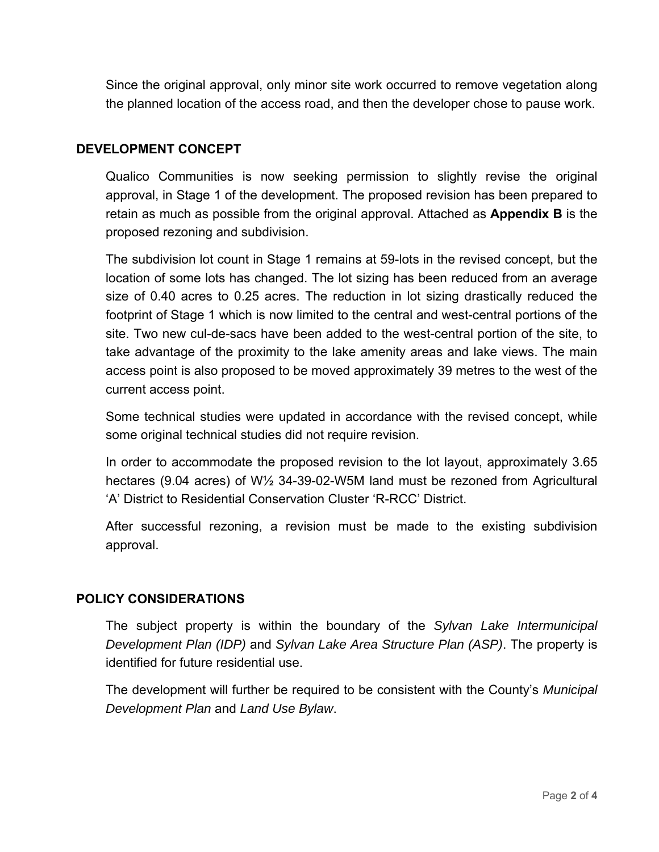Since the original approval, only minor site work occurred to remove vegetation along the planned location of the access road, and then the developer chose to pause work.

#### **DEVELOPMENT CONCEPT**

Qualico Communities is now seeking permission to slightly revise the original approval, in Stage 1 of the development. The proposed revision has been prepared to retain as much as possible from the original approval. Attached as **Appendix B** is the proposed rezoning and subdivision.

The subdivision lot count in Stage 1 remains at 59-lots in the revised concept, but the location of some lots has changed. The lot sizing has been reduced from an average size of 0.40 acres to 0.25 acres. The reduction in lot sizing drastically reduced the footprint of Stage 1 which is now limited to the central and west-central portions of the site. Two new cul-de-sacs have been added to the west-central portion of the site, to take advantage of the proximity to the lake amenity areas and lake views. The main access point is also proposed to be moved approximately 39 metres to the west of the current access point.

Some technical studies were updated in accordance with the revised concept, while some original technical studies did not require revision.

In order to accommodate the proposed revision to the lot layout, approximately 3.65 hectares (9.04 acres) of W½ 34-39-02-W5M land must be rezoned from Agricultural 'A' District to Residential Conservation Cluster 'R-RCC' District.

After successful rezoning, a revision must be made to the existing subdivision approval.

### **POLICY CONSIDERATIONS**

The subject property is within the boundary of the *Sylvan Lake Intermunicipal Development Plan (IDP)* and *Sylvan Lake Area Structure Plan (ASP)*. The property is identified for future residential use.

The development will further be required to be consistent with the County's *Municipal Development Plan* and *Land Use Bylaw*.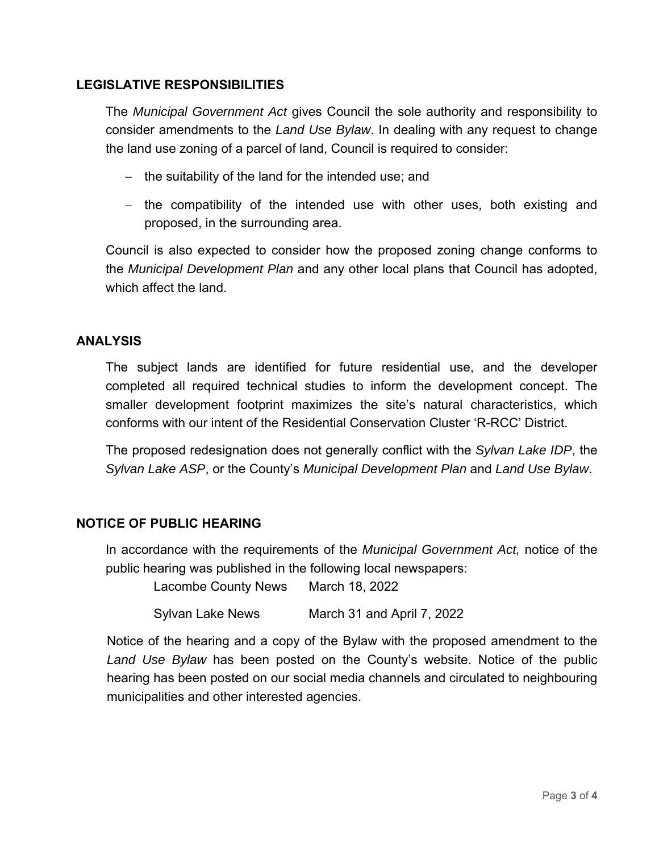#### **LEGISLATIVE RESPONSIBILITIES**

The *Municipal Government Act* gives Council the sole authority and responsibility to consider amendments to the *Land Use Bylaw*. In dealing with any request to change the land use zoning of a parcel of land, Council is required to consider:

- $-$  the suitability of the land for the intended use; and
- $-$  the compatibility of the intended use with other uses, both existing and proposed, in the surrounding area.

Council is also expected to consider how the proposed zoning change conforms to the *Municipal Development Plan* and any other local plans that Council has adopted, which affect the land.

#### **ANALYSIS**

The subject lands are identified for future residential use, and the developer completed all required technical studies to inform the development concept. The smaller development footprint maximizes the site's natural characteristics, which conforms with our intent of the Residential Conservation Cluster 'R-RCC' District.

The proposed redesignation does not generally conflict with the *Sylvan Lake IDP*, the *Sylvan Lake ASP*, or the County's *Municipal Development Plan* and *Land Use Bylaw*.

#### **NOTICE OF PUBLIC HEARING**

In accordance with the requirements of the *Municipal Government Act,* notice of the public hearing was published in the following local newspapers:

Lacombe County News March 18, 2022

Sylvan Lake News March 31 and April 7, 2022

Notice of the hearing and a copy of the Bylaw with the proposed amendment to the *Land Use Bylaw* has been posted on the County's website. Notice of the public hearing has been posted on our social media channels and circulated to neighbouring municipalities and other interested agencies.